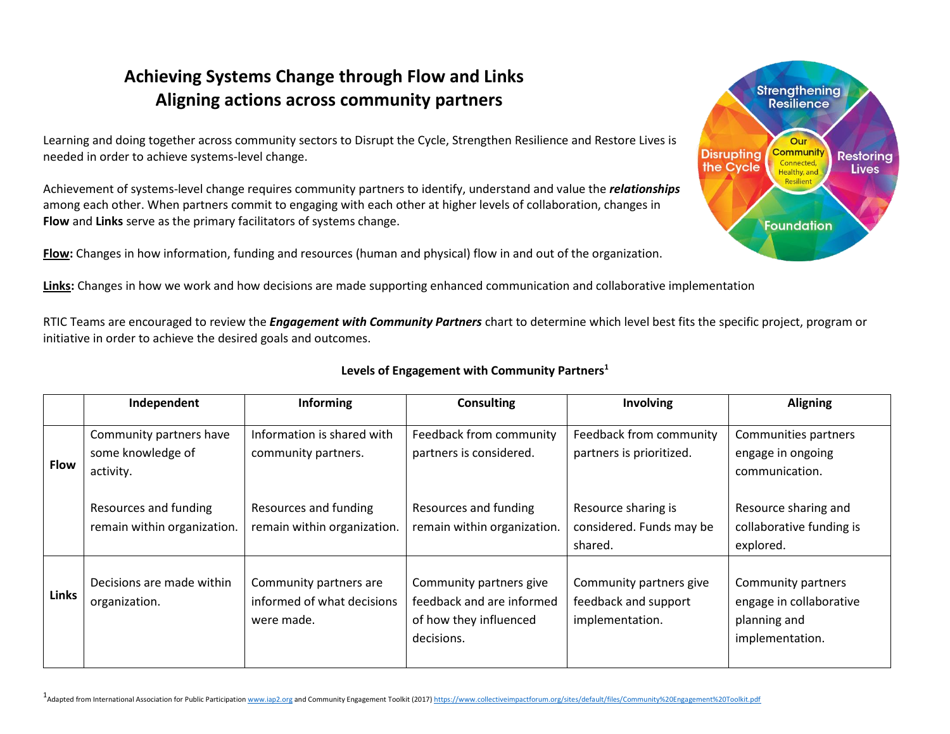## **Achieving Systems Change through Flow and Links Aligning actions across community partners**

Learning and doing together across community sectors to Disrupt the Cycle, Strengthen Resilience and Restore Lives is needed in order to achieve systems-level change.

Achievement of systems-level change requires community partners to identify, understand and value the *relationships* among each other. When partners commit to engaging with each other at higher levels of collaboration, changes in **Flow** and **Links** serve as the primary facilitators of systems change.

**Flow:** Changes in how information, funding and resources (human and physical) flow in and out of the organization.

**Strengthening Resilience** Our **Community Disrupting Restoring** Connected, the Cycle **Lives** Healthy, and Resilient **Foundation** 

**Links:** Changes in how we work and how decisions are made supporting enhanced communication and collaborative implementation

RTIC Teams are encouraged to review the *Engagement with Community Partners* chart to determine which level best fits the specific project, program or initiative in order to achieve the desired goals and outcomes.

|              | Independent                                               | <b>Informing</b>                                                   | <b>Consulting</b>                                                                            | Involving                                                          | <b>Aligning</b>                                                                  |
|--------------|-----------------------------------------------------------|--------------------------------------------------------------------|----------------------------------------------------------------------------------------------|--------------------------------------------------------------------|----------------------------------------------------------------------------------|
| <b>Flow</b>  | Community partners have<br>some knowledge of<br>activity. | Information is shared with<br>community partners.                  | Feedback from community<br>partners is considered.                                           | Feedback from community<br>partners is prioritized.                | Communities partners<br>engage in ongoing<br>communication.                      |
|              | Resources and funding<br>remain within organization.      | Resources and funding<br>remain within organization.               | Resources and funding<br>remain within organization.                                         | Resource sharing is<br>considered. Funds may be<br>shared.         | Resource sharing and<br>collaborative funding is<br>explored.                    |
| <b>Links</b> | Decisions are made within<br>organization.                | Community partners are<br>informed of what decisions<br>were made. | Community partners give<br>feedback and are informed<br>of how they influenced<br>decisions. | Community partners give<br>feedback and support<br>implementation. | Community partners<br>engage in collaborative<br>planning and<br>implementation. |

## **Levels of Engagement with Community Partners<sup>1</sup>**